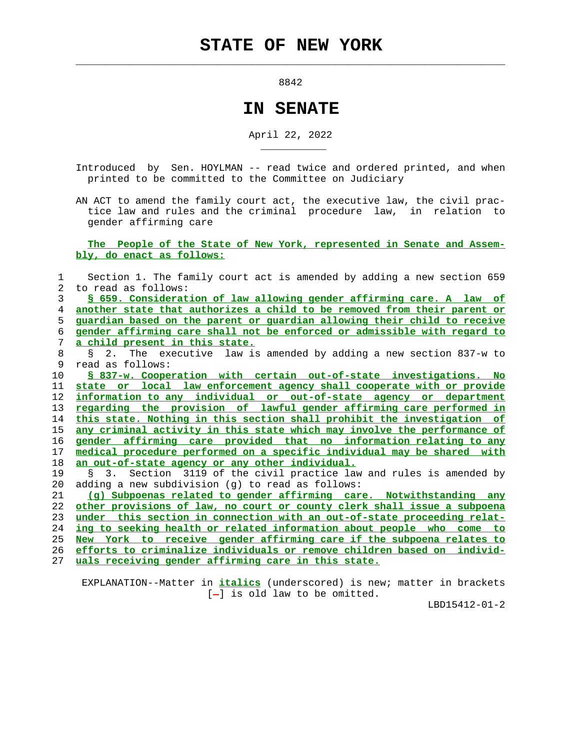$\mathcal{L}_\text{max} = \frac{1}{2} \sum_{i=1}^{n} \frac{1}{2} \sum_{i=1}^{n} \frac{1}{2} \sum_{i=1}^{n} \frac{1}{2} \sum_{i=1}^{n} \frac{1}{2} \sum_{i=1}^{n} \frac{1}{2} \sum_{i=1}^{n} \frac{1}{2} \sum_{i=1}^{n} \frac{1}{2} \sum_{i=1}^{n} \frac{1}{2} \sum_{i=1}^{n} \frac{1}{2} \sum_{i=1}^{n} \frac{1}{2} \sum_{i=1}^{n} \frac{1}{2} \sum_{i=1}^{n} \frac{1$ 

\_\_\_\_\_\_\_\_\_\_\_

8842

## **IN SENATE**

April 22, 2022

- Introduced by Sen. HOYLMAN -- read twice and ordered printed, and when printed to be committed to the Committee on Judiciary
- AN ACT to amend the family court act, the executive law, the civil prac tice law and rules and the criminal procedure law, in relation to gender affirming care

 **The People of the State of New York, represented in Senate and Assem bly, do enact as follows:**

| 1              | Section 1. The family court act is amended by adding a new section 659            |
|----------------|-----------------------------------------------------------------------------------|
| $\overline{2}$ | to read as follows:                                                               |
| 3              | § 659. Consideration of law allowing gender affirming care. A law of              |
| 4              | another state that authorizes a child to be removed from their parent or          |
| 5              | <u>guardian based on the parent or quardian allowing their child to receive</u>   |
| 6              | gender affirming care shall not be enforced or admissible with regard to          |
| 7              | a child present in this state.                                                    |
| 8              | 2. The executive law is amended by adding a new section 837-w to<br>$\mathcal{S}$ |
| 9              | read as follows:                                                                  |
| 10             | § 837-w. Cooperation with certain out-of-state investigations. No                 |
| 11             | state or local law enforcement agency shall cooperate with or provide             |
| 12             | information to any individual or out-of-state agency or department                |
| 13             | regarding the provision of lawful gender affirming care performed in              |
| 14             | this state. Nothing in this section shall prohibit the investigation of           |
| 15             | <u>any criminal activity in this state which may involve the performance of</u>   |
| 16             | gender affirming care provided that no information relating to any                |
| 17             | medical procedure performed on a specific individual may be shared with           |
| 18             | an out-of-state agency or any other individual.                                   |
| 19             | § 3. Section 3119 of the civil practice law and rules is amended by               |
| 20             | adding a new subdivision (g) to read as follows:                                  |
| 21             | (q) Subpoenas related to gender affirming care. Notwithstanding any               |
| 22             | other provisions of law, no court or county clerk shall issue a subpoena          |
| 23             | under this section in connection with an out-of-state proceeding relat-           |
| 24             | ing to seeking health or related information about people who come to             |
| 25             | New York to receive gender affirming care if the subpoena relates to              |
| 26             | efforts to criminalize individuals or remove children based on individ-           |
| 27             | uals receiving gender affirming care in this state.                               |

 EXPLANATION--Matter in **italics** (underscored) is new; matter in brackets  $[-]$  is old law to be omitted.

LBD15412-01-2